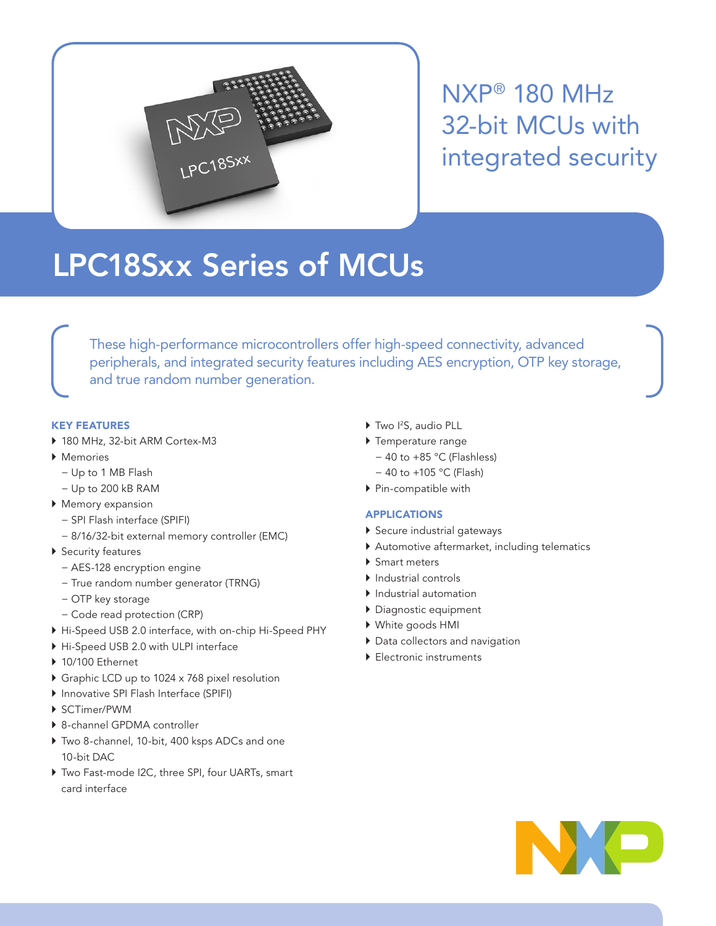

NXP® 180 MHz 32-bit MCUs with integrated security

# LPC18Sxx Series of MCUs

These high-performance microcontrollers offer high-speed connectivity, advanced peripherals, and integrated security features including AES encryption, OTP key storage, and true random number generation.

# KEY FEATURES

- ▶ 180 MHz, 32-bit ARM Cortex-M3
- ` Memories
	- − Up to 1 MB Flash
	- − Up to 200 kB RAM
- $\blacktriangleright$  Memory expansion
	- − SPI Flash interface (SPIFI)
	- − 8/16/32-bit external memory controller (EMC)
- ▶ Security features
	- − AES-128 encryption engine
	- − True random number generator (TRNG)
	- − OTP key storage
	- − Code read protection (CRP)
- ` Hi-Speed USB 2.0 interface, with on-chip Hi-Speed PHY
- $\triangleright$  Hi-Speed USB 2.0 with ULPI interface
- $\blacktriangleright$  10/100 Ethernet
- ▶ Graphic LCD up to 1024 x 768 pixel resolution
- ` Innovative SPI Flash Interface (SPIFI)
- ` SCTimer/PWM
- ▶ 8-channel GPDMA controller
- ▶ Two 8-channel, 10-bit, 400 ksps ADCs and one 10-bit DAC
- Two Fast-mode I2C, three SPI, four UARTs, smart card interface
- ▶ Two I<sup>2</sup>S, audio PLL
- $\blacktriangleright$  Temperature range
	- − 40 to +85 °C (Flashless)
	- − 40 to +105 °C (Flash)
- ▶ Pin-compatible with

## APPLICATIONS

- Secure industrial gateways
- ` Automotive aftermarket, including telematics
- ▶ Smart meters
- $\blacktriangleright$  Industrial controls
- **Industrial automation**
- ` Diagnostic equipment
- ` White goods HMI
- $\blacktriangleright$  Data collectors and navigation
- Electronic instruments